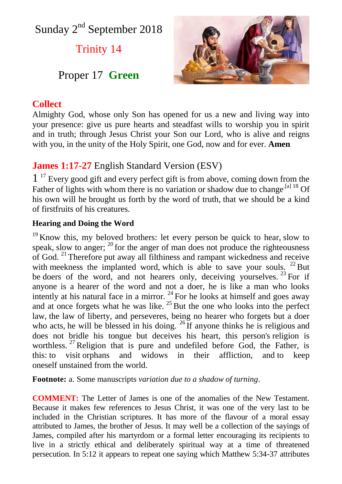Sunday 2<sup>nd</sup> September 2018

Trinity 14

# Proper 17 **Green**

## **Collect**

Almighty God, whose only Son has opened for us a new and living way into your presence: give us pure hearts and steadfast wills to worship you in spirit and in truth; through Jesus Christ your Son our Lord, who is alive and reigns with you, in the unity of the Holy Spirit, one God, now and for ever. **Amen**

# **James 1:17-27** English Standard Version (ESV)

1<sup>17</sup> Every good gift and every perfect gift is from above, coming down from the Father of lights with whom there is no variation or shadow due to change<sup>[\[a\]](https://www.biblegateway.com/passage/?search=James+1%3A17-27&version=ESV#fen-ESV-30267a) 18</sup> Of his own will he brought us forth by the word of truth, that we should be a kind of firstfruits of his creatures.

### **Hearing and Doing the Word**

 $19$  Know this, my beloved brothers: let every person be quick to hear, slow to speak, slow to anger;  $^{20}$  for the anger of man does not produce the righteousness of God. <sup>21</sup> Therefore put away all filthiness and rampant wickedness and receive with meekness the implanted word, which is able to save your souls.  $^{22}$  But be doers of the word, and not hearers only, deceiving yourselves.  $^{23}$  For if anyone is a hearer of the word and not a doer, he is like a man who looks intently at his natural face in a mirror.  $^{24}$  For he looks at himself and goes away and at once forgets what he was like.  $^{25}$  But the one who looks into the perfect law, the law of liberty, and perseveres, being no hearer who forgets but a doer who acts, he will be blessed in his doing.  $^{26}$  If anyone thinks he is religious and does not bridle his tongue but deceives his heart, this person's religion is worthless. <sup>27</sup> Religion that is pure and undefiled before God, the Father, is this: to visit orphans and widows in their affliction, and to keep oneself unstained from the world.

**Footnote:** a. Some manuscripts *variation due to a shadow of turning*.

**COMMENT:** The Letter of James is one of the anomalies of the New Testament. Because it makes few references to Jesus Christ, it was one of the very last to be included in the Christian scriptures. It has more of the flavour of a moral essay attributed to James, the brother of Jesus. It may well be a collection of the sayings of James, compiled after his martyrdom or a formal letter encouraging its recipients to live in a strictly ethical and deliberately spiritual way at a time of threatened persecution. In 5:12 it appears to repeat one saying which Matthew 5:34-37 attributes

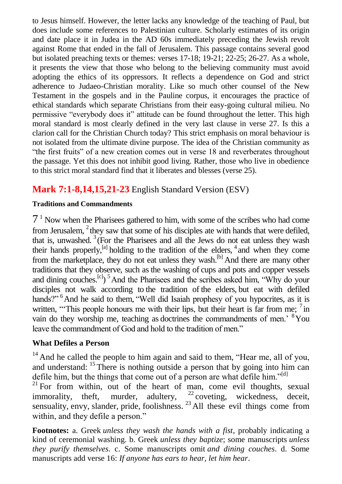to Jesus himself. However, the letter lacks any knowledge of the teaching of Paul, but does include some references to Palestinian culture. Scholarly estimates of its origin and date place it in Judea in the AD 60s immediately preceding the Jewish revolt against Rome that ended in the fall of Jerusalem. This passage contains several good but isolated preaching texts or themes: verses 17-18; 19-21; 22-25; 26-27. As a whole, it presents the view that those who belong to the believing community must avoid adopting the ethics of its oppressors. It reflects a dependence on God and strict adherence to Judaeo-Christian morality. Like so much other counsel of the New Testament in the gospels and in the Pauline corpus, it encourages the practice of ethical standards which separate Christians from their easy-going cultural milieu. No permissive "everybody does it" attitude can be found throughout the letter. This high moral standard is most clearly defined in the very last clause in verse 27. Is this a clarion call for the Christian Church today? This strict emphasis on moral behaviour is not isolated from the ultimate divine purpose. The idea of the Christian community as "the first fruits" of a new creation comes out in verse 18 and reverberates throughout the passage. Yet this does not inhibit good living. Rather, those who live in obedience to this strict moral standard find that it liberates and blesses (verse 25).

# **Mark 7:1-8,14,15,21-23** English Standard Version (ESV)

### **Traditions and Commandments**

7 <sup>1</sup> Now when the Pharisees gathered to him, with some of the scribes who had come from Jerusalem,  $2$  they saw that some of his disciples ate with hands that were defiled, that is, unwashed.  $3$  (For the Pharisees and all the Jews do not eat unless they wash their hands properly, $^{[a]}$  holding to the tradition of the elders,  $^4$  and when they come from the marketplace, they do not eat unless they wash.<sup>[b]</sup> And there are many other traditions that they observe, such as the washing of cups and pots and copper vessels and dining couches.<sup>[c]</sup> $\binom{5}{1}$  And the Pharisees and the scribes asked him, "Why do your disciples not walk according to the tradition of the elders, but eat with defiled hands?"<sup>6</sup>And he said to them, "Well did Isaiah prophesy of you hypocrites, as it is written, "This people honours me with their lips, but their heart is far from me; <sup>7</sup> in vain do they worship me, teaching as doctrines the commandments of men.<sup>8</sup>You leave the commandment of God and hold to the tradition of men."

### **What Defiles a Person**

 $14$  And he called the people to him again and said to them, "Hear me, all of you, and understand: <sup>15</sup> There is nothing outside a person that by going into him can defile him, but the things that come out of a person are what defile him."<sup>[d]</sup>

 $21$  For from within, out of the heart of man, come evil thoughts, sexual immorality, theft, murder, adultery,  $^{22}$  coveting, wickedness, deceit, sensuality, envy, slander, pride, foolishness.  $^{23}$  All these evil things come from within, and they defile a person."

**Footnotes:** a. Greek *unless they wash the hands with a fist*, probably indicating a kind of ceremonial washing. b. Greek *unless they baptize*; some manuscripts *unless they purify themselves*. c. Some manuscripts omit *and dining couches*. d. Some manuscripts add verse 16: *If anyone has ears to hear, let him hear*.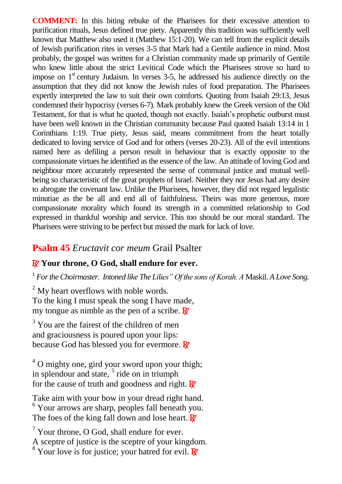**COMMENT:** In this biting rebuke of the Pharisees for their excessive attention to purification rituals, Jesus defined true piety. Apparently this tradition was sufficiently well known that Matthew also used it (Matthew 15:1-20). We can tell from the explicit details of Jewish purification rites in verses 3-5 that Mark had a Gentile audience in mind. Most probably, the gospel was written for a Christian community made up primarily of Gentile who knew little about the strict Levitical Code which the Pharisees strove so hard to impose on  $1<sup>st</sup>$  century Judaism. In verses 3-5, he addressed his audience directly on the assumption that they did not know the Jewish rules of food preparation. The Pharisees expertly interpreted the law to suit their own comforts. Quoting from Isaiah 29:13, Jesus condemned their hypocrisy (verses 6-7). Mark probably knew the Greek version of the Old Testament, for that is what he quoted, though not exactly. Isaiah's prophetic outburst must have been well known in the Christian community because Paul quoted Isaiah 13:14 in 1 Corinthians 1:19. True piety, Jesus said, means commitment from the heart totally dedicated to loving service of God and for others (verses 20-23). All of the evil intentions named here as defiling a person result in behaviour that is exactly opposite to the compassionate virtues he identified as the essence of the law. An attitude of loving God and neighbour more accurately represented the sense of communal justice and mutual wellbeing so characteristic of the great prophets of Israel. Neither they nor Jesus had any desire to abrogate the covenant law. Unlike the Pharisees, however, they did not regard legalistic minutiae as the be all and end all of faithfulness. Theirs was more generous, more compassionate morality which found its strength in a committed relationship to God expressed in thankful worship and service. This too should be our moral standard. The Pharisees were striving to be perfect but missed the mark for lack of love.

## **Psalm 45** *Eructavit cor meum* Grail Psalter

## R **Your throne, O God, shall endure for ever.**

<sup>1</sup> For the Choirmaster. Intoned like The Lilies" Of the sons of Korah. A Maskil. A Love Song.

 $<sup>2</sup>$  My heart overflows with noble words.</sup> To the king I must speak the song I have made, my tongue as nimble as the pen of a scribe.  $\mathbb{R}^7$ 

 $3$  You are the fairest of the children of men and graciousness is poured upon your lips: because God has blessed you for evermore.  $\mathbb{R}^7$ 

 $4^\circ$  O mighty one, gird your sword upon your thigh; in splendour and state,  $5$  ride on in triumph for the cause of truth and goodness and right.  $\mathbb{R}^7$ 

Take aim with your bow in your dread right hand. <sup>6</sup> Your arrows are sharp, peoples fall beneath you. The foes of the king fall down and lose heart.  $\mathbb{R}^7$ 

l  $<sup>7</sup>$  Your throne, O God, shall endure for ever.</sup> A sceptre of justice is the sceptre of your kingdom.  $8 \text{ Your love is for justice; your hatted for evil.}$